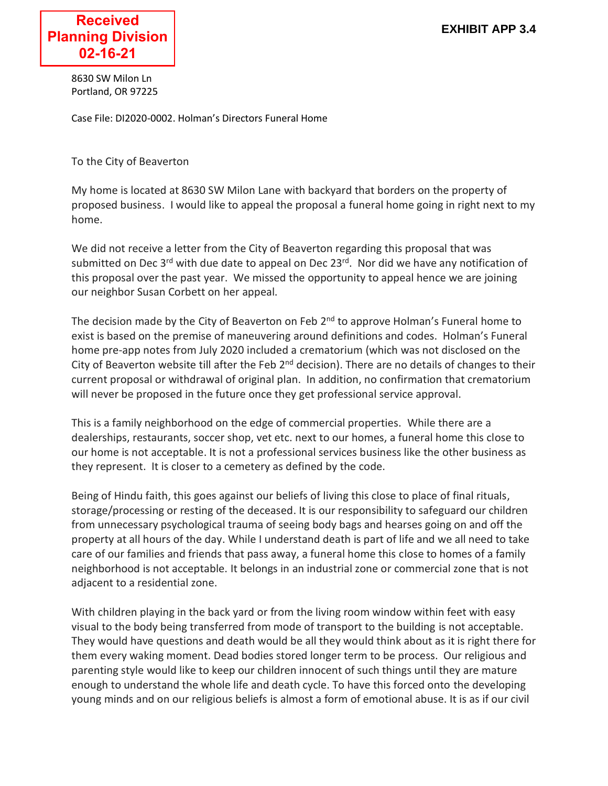8630 SW Milon Ln Portland, OR 97225

Case File: DI2020-0002. Holman's Directors Funeral Home

To the City of Beaverton

My home is located at 8630 SW Milon Lane with backyard that borders on the property of proposed business. I would like to appeal the proposal a funeral home going in right next to my home.

We did not receive a letter from the City of Beaverton regarding this proposal that was submitted on Dec 3<sup>rd</sup> with due date to appeal on Dec 23<sup>rd</sup>. Nor did we have any notification of this proposal over the past year. We missed the opportunity to appeal hence we are joining our neighbor Susan Corbett on her appeal.

The decision made by the City of Beaverton on Feb  $2^{nd}$  to approve Holman's Funeral home to exist is based on the premise of maneuvering around definitions and codes. Holman's Funeral home pre-app notes from July 2020 included a crematorium (which was not disclosed on the City of Beaverton website till after the Feb  $2^{nd}$  decision). There are no details of changes to their current proposal or withdrawal of original plan. In addition, no confirmation that crematorium will never be proposed in the future once they get professional service approval.

This is a family neighborhood on the edge of commercial properties. While there are a dealerships, restaurants, soccer shop, vet etc. next to our homes, a funeral home this close to our home is not acceptable. It is not a professional services business like the other business as they represent. It is closer to a cemetery as defined by the code.

Being of Hindu faith, this goes against our beliefs of living this close to place of final rituals, storage/processing or resting of the deceased. It is our responsibility to safeguard our children from unnecessary psychological trauma of seeing body bags and hearses going on and off the property at all hours of the day. While I understand death is part of life and we all need to take care of our families and friends that pass away, a funeral home this close to homes of a family neighborhood is not acceptable. It belongs in an industrial zone or commercial zone that is not adjacent to a residential zone.

With children playing in the back yard or from the living room window within feet with easy visual to the body being transferred from mode of transport to the building is not acceptable. They would have questions and death would be all they would think about as it is right there for them every waking moment. Dead bodies stored longer term to be process. Our religious and parenting style would like to keep our children innocent of such things until they are mature enough to understand the whole life and death cycle. To have this forced onto the developing young minds and on our religious beliefs is almost a form of emotional abuse. It is as if our civil